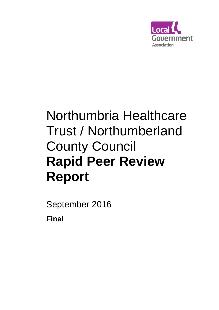

# Northumbria Healthcare Trust / Northumberland County Council **Rapid Peer Review Report**

September 2016 **Final**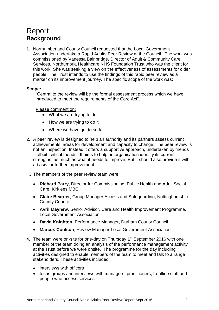## Report **Background**

1. Northumberland County Council requested that the Local Government Association undertake a Rapid Adults Peer Review at the Council. The work was commissioned by Vanessa Bainbridge, Director of Adult & Community Care Services, Northumbria Healthcare NHS Foundation Trust who was the client for this work. She was seeking a view on the effectiveness of assessments for older people. The Trust intends to use the findings of this rapid peer review as a marker on its improvement journey. The specific scope of the work was:

#### **Scope:**

"Central to the review will be the formal assessment process which we have introduced to meet the requirements of the Care Act".

Please comment on:

- What we are trying to do
- How we are trying to do it
- Where we have got to so far
- 2. A peer review is designed to help an authority and its partners assess current achievements, areas for development and capacity to change. The peer review is not an inspection. Instead it offers a supportive approach, undertaken by friends – albeit 'critical friends'. It aims to help an organisation identify its current strengths, as much as what it needs to improve. But it should also provide it with a basis for further improvement.
	- 3.The members of the peer review team were:
		- **Richard Parry**, Director for Commissioning, Public Health and Adult Social Care, Kirklees MBC
		- **Claire Bearder**, Group Manager Access and Safeguarding, Nottinghamshire County Council
		- **Avril Mayhew**, Senior Advisor, Care and Health Improvement Programme, Local Government Association
		- **David Knighton**, Performance Manager, Durham County Council
		- **Marcus Coulson**, Review Manager Local Government Association
- 4. The team were on-site for one-day on Thursday 1<sup>st</sup> September 2016 with one member of the team doing an analysis of the performance management activity at the Trust before we were onsite. The programme for the day including activities designed to enable members of the team to meet and talk to a range stakeholders. These activities included:
	- interviews with officers
	- focus groups and interviews with managers, practitioners, frontline staff and people who access services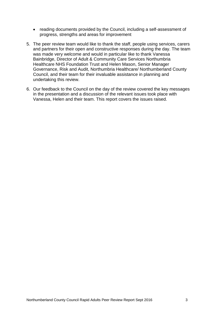- reading documents provided by the Council, including a self-assessment of progress, strengths and areas for improvement
- 5. The peer review team would like to thank the staff, people using services, carers and partners for their open and constructive responses during the day. The team was made very welcome and would in particular like to thank Vanessa Bainbridge, Director of Adult & Community Care Services Northumbria Healthcare NHS Foundation Trust and Helen Mason, Senior Manager Governance, Risk and Audit, Northumbria Healthcare/ Northumberland County Council, and their team for their invaluable assistance in planning and undertaking this review.
- 6. Our feedback to the Council on the day of the review covered the key messages in the presentation and a discussion of the relevant issues took place with Vanessa, Helen and their team. This report covers the issues raised.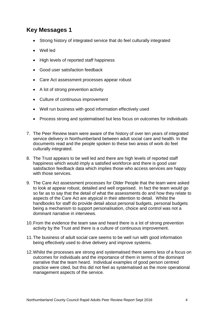#### **Key Messages 1**

- Strong history of integrated service that do feel culturally integrated
- Well led
- High levels of reported staff happiness
- Good user satisfaction feedback
- Care Act assessment processes appear robust
- A lot of strong prevention activity
- Culture of continuous improvement
- Well run business with good information effectively used
- Process strong and systematised but less focus on outcomes for individuals
- 7. The Peer Review team were aware of the history of over ten years of integrated service delivery in Northumberland between adult social care and health. In the documents read and the people spoken to these two areas of work do feel culturally integrated.
- 8. The Trust appears to be well led and there are high levels of reported staff happiness which would imply a satisfied workforce and there is good user satisfaction feedback data which implies those who access services are happy with those services.
- 9. The Care Act assessment processes for Older People that the team were asked to look at appear robust, detailed and well organised. In fact the team would go so far as to say that the detail of what the assessments do and how they relate to aspects of the Care Act are atypical in their attention to detail. Whilst the handbooks for staff do provide detail about personal budgets, personal budgets being a mechanism to support personalisation, choice and control was not a dominant narrative in interviews.
- 10.From the evidence the team saw and heard there is a lot of strong prevention activity by the Trust and there is a culture of continuous improvement.
- 11.The business of adult social care seems to be well run with good information being effectively used to drive delivery and improve systems.
- 12.Whilst the processes are strong and systematised there seems less of a focus on outcomes for individuals and the importance of them in terms of the dominant narrative that the team heard. Individual examples of good person centred practice were cited, but this did not feel as systematised as the more operational management aspects of the service.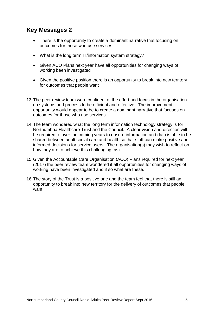#### **Key Messages 2**

- There is the opportunity to create a dominant narrative that focusing on outcomes for those who use services
- What is the long term IT/information system strategy?
- Given ACO Plans next year have all opportunities for changing ways of working been investigated
- Given the positive position there is an opportunity to break into new territory for outcomes that people want
- 13.The peer review team were confident of the effort and focus in the organisation on systems and process to be efficient and effective. The improvement opportunity would appear to be to create a dominant narrative that focuses on outcomes for those who use services.
- 14.The team wondered what the long term information technology strategy is for Northumbria Healthcare Trust and the Council. A clear vision and direction will be required to over the coming years to ensure information and data is able to be shared between adult social care and health so that staff can make positive and informed decisions for service users. The organisation(s) may wish to reflect on how they are to achieve this challenging task.
- 15.Given the Accountable Care Organisation (ACO) Plans required for next year (2017) the peer review team wondered if all opportunities for changing ways of working have been investigated and if so what are these.
- 16.The story of the Trust is a positive one and the team feel that there is still an opportunity to break into new territory for the delivery of outcomes that people want.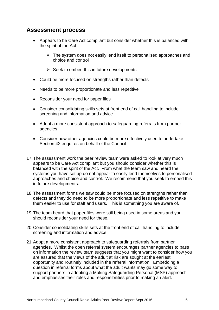#### **Assessment process**

- Appears to be Care Act compliant but consider whether this is balanced with the spirit of the Act
	- $\triangleright$  The system does not easily lend itself to personalised approaches and choice and control
	- $\triangleright$  Seek to embed this in future developments
- Could be more focused on strengths rather than defects
- Needs to be more proportionate and less repetitive
- Reconsider your need for paper files
- Consider consolidating skills sets at front end of call handling to include screening and information and advice
- Adopt a more consistent approach to safeguarding referrals from partner agencies
- Consider how other agencies could be more effectively used to undertake Section 42 enquires on behalf of the Council
- 17.The assessment work the peer review team were asked to look at very much appears to be Care Act compliant but you should consider whether this is balanced with the spirit of the Act. From what the team saw and heard the systems you have set up do not appear to easily lend themselves to personalised approaches and choice and control. We recommend that you seek to embed this in future developments.
- 18.The assessment forms we saw could be more focused on strengths rather than defects and they do need to be more proportionate and less repetitive to make them easier to use for staff and users. This is something you are aware of.
- 19.The team heard that paper files were still being used in some areas and you should reconsider your need for these.
- 20.Consider consolidating skills sets at the front end of call handling to include screening and information and advice.
- 21.Adopt a more consistent approach to safeguarding referrals from partner agencies. Whilst the open referral system encourages partner agencies to pass on information the review team suggests that you might want to consider how you are assured that the views of the adult at risk are sought at the earliest opportunity and routinely included in the referral information. Embedding a question in referral forms about what the adult wants may go some way to support partners in adopting a Making Safeguarding Personal (MSP) approach and emphasises their roles and responsibilities prior to making an alert.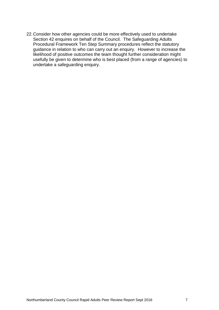22.Consider how other agencies could be more effectively used to undertake Section 42 enquires on behalf of the Council. The Safeguarding Adults Procedural Framework Ten Step Summary procedures reflect the statutory guidance in relation to who can carry out an enquiry. However to increase the likelihood of positive outcomes the team thought further consideration might usefully be given to determine who is best placed (from a range of agencies) to undertake a safeguarding enquiry.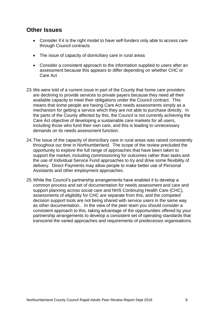#### **Other Issues**

- Consider if it is the right model to have self-funders only able to access care through Council contracts
- The issue of capacity of domiciliary care in rural areas
- Consider a consistent approach to the information supplied to users after an assessment because this appears to differ depending on whether CHC or Care Act
- 23.We were told of a current issue in part of the County that home care providers are declining to provide services to private payers because they need all their available capacity to meet their obligations under the Council contract. This means that some people are having Care Act needs assessments simply as a mechanism for getting a service which they are not able to purchase directly. In the parts of the County affected by this, the Council is not currently achieving the Care Act objective of developing a sustainable care markets for all users, including those who fund their own care, and this is leading to unnecessary demands on its needs assessment function.
- 24.The issue of the capacity of domiciliary care in rural areas was raised consistently throughout our time in Northumberland. The scope of the review precluded the opportunity to explore the full range of approaches that have been taken to support the market, including commissioning for outcomes rather than tasks and the use of Individual Service Fund approaches to try and drive some flexibility of delivery. Direct Payments may allow people to make better use of Personal Assistants and other employment approaches.
- 25.While the Council's partnership arrangements have enabled it to develop a common process and set of documentation for needs assessment and care and support planning across social care and NHS Continuing Health Care (CHC), assessments of eligibility for CHC are separate from this, and the competed decision support tools are not being shared with service users in the same way as other documentation.. In the view of the peer team you should consider a consistent approach to this, taking advantage of the opportunities offered by your partnership arrangements to develop a consistent set of operating standards that transcend the varied approaches and requirements of predecessor organisations.